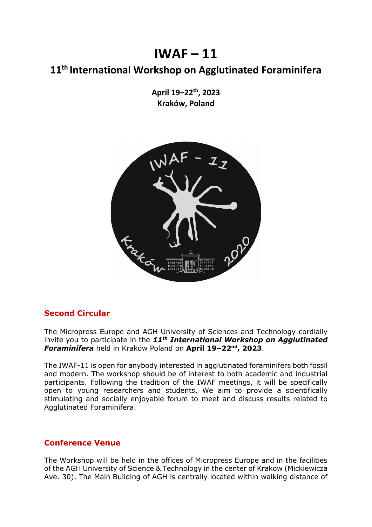# $IWAF - 11$

# **11th International Workshop on Agglutinated Foraminifera**

**April 19–22 th, 2023 Kraków, Poland**



## **Second Circular**

The Micropress Europe and AGH University of Sciences and Technology cordially invite you to participate in the *11th International Workshop on Agglutinated Foraminifera* held in Kraków Poland on **April 19–22 nd, 2023**.

The IWAF-11 is open for anybody interested in agglutinated foraminifers both fossil and modern. The workshop should be of interest to both academic and industrial participants. Following the tradition of the IWAF meetings, it will be specifically open to young researchers and students. We aim to provide a scientifically stimulating and socially enjoyable forum to meet and discuss results related to Agglutinated Foraminifera.

#### **Conference Venue**

The Workshop will be held in the offices of Micropress Europe and in the facilities of the AGH University of Science & Technology in the center of Krakow (Mickiewicza Ave. 30). The Main Building of AGH is centrally located within walking distance of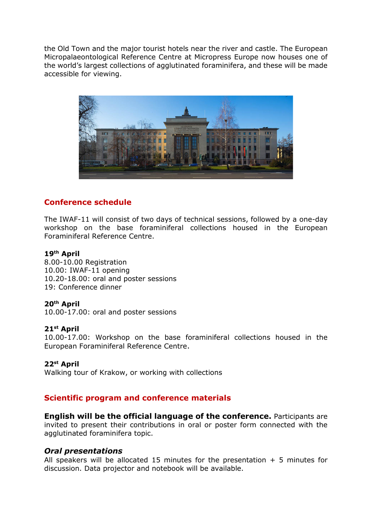the Old Town and the major tourist hotels near the river and castle. The European Micropalaeontological Reference Centre at Micropress Europe now houses one of the world's largest collections of agglutinated foraminifera, and these will be made accessible for viewing.



### **Conference schedule**

The IWAF-11 will consist of two days of technical sessions, followed by a one-day workshop on the base foraminiferal collections housed in the European Foraminiferal Reference Centre.

#### **19th April**

8.00-10.00 Registration 10.00: IWAF-11 opening 10.20-18.00: oral and poster sessions 19: Conference dinner

#### **20 th April**

10.00-17.00: oral and poster sessions

#### **21 st April**

10.00-17.00: Workshop on the base foraminiferal collections housed in the European Foraminiferal Reference Centre.

#### **22 st April**

Walking tour of Krakow, or working with collections

#### **Scientific program and conference materials**

**English will be the official language of the conference.** Participants are invited to present their contributions in oral or poster form connected with the agglutinated foraminifera topic.

#### *Oral presentations*

All speakers will be allocated 15 minutes for the presentation  $+ 5$  minutes for discussion. Data projector and notebook will be available.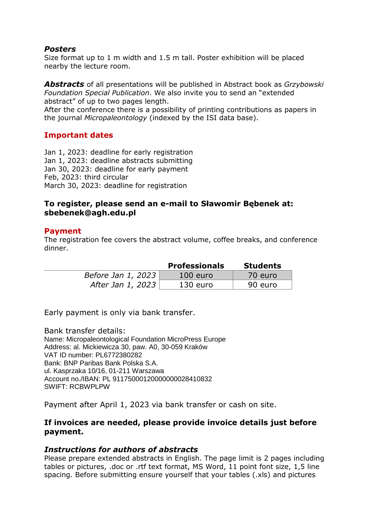#### *Posters*

Size format up to 1 m width and 1.5 m tall. Poster exhibition will be placed nearby the lecture room.

*Abstracts* of all presentations will be published in Abstract book as *Grzybowski Foundation Special Publication*. We also invite you to send an "extended abstract" of up to two pages length.

After the conference there is a possibility of printing contributions as papers in the journal *Micropaleontology* (indexed by the ISI data base).

#### **Important dates**

Jan 1, 2023: deadline for early registration Jan 1, 2023: deadline abstracts submitting Jan 30, 2023: deadline for early payment Feb, 2023: third circular March 30, 2023: deadline for registration

#### **To register, please send an e-mail to Sławomir Bębenek at: sbebenek@agh.edu.pl**

#### **Payment**

The registration fee covers the abstract volume, coffee breaks, and conference dinner.

|                    | <b>Professionals</b> | <b>Students</b> |
|--------------------|----------------------|-----------------|
| Before Jan 1, 2023 | $100$ euro           | 70 euro         |
| After Jan 1, 2023  | $130$ euro           | 90 euro         |

Early payment is only via bank transfer.

Bank transfer details: Name: Micropaleontological Foundation MicroPress Europe Address: al. Mickiewicza 30, paw. A0, 30-059 Kraków VAT ID number: PL6772380282 Bank: BNP Paribas Bank Polska S.A. ul. Kasprzaka 10/16, 01-211 Warszawa Account no./IBAN: PL 91175000120000000028410832 SWIFT: RCBWPLPW

Payment after April 1, 2023 via bank transfer or cash on site.

#### **If invoices are needed, please provide invoice details just before payment.**

#### *Instructions for authors of abstracts*

Please prepare extended abstracts in English. The page limit is 2 pages including tables or pictures, .doc or .rtf text format, MS Word, 11 point font size, 1,5 line spacing. Before submitting ensure yourself that your tables (.xls) and pictures